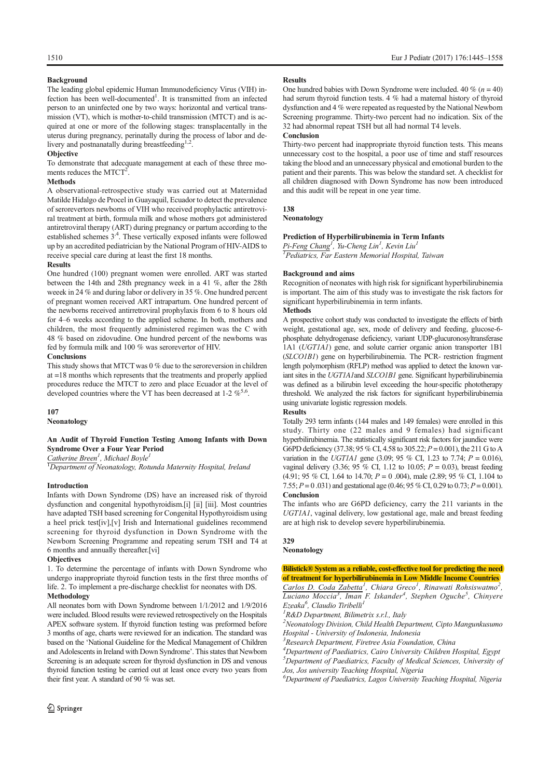# **Background**

The leading global epidemic Human Immunodeficiency Virus (VIH) infection has been well-documented<sup>1</sup>. It is transmitted from an infected person to an uninfected one by two ways: horizontal and vertical transmission (VT), which is mother-to-child transmission (MTCT) and is acquired at one or more of the following stages: transplacentally in the uterus during pregnancy, perinatally during the process of labor and delivery and postnanatally during breastfeeding<sup>1,2</sup>.

# **Objective**

To demonstrate that adecquate management at each of these three moments reduces the  $MTCT<sup>2</sup>$ .

# **Methods**

A observational-retrospective study was carried out at Maternidad Matilde Hidalgo de Procel in Guayaquil, Ecuador to detect the prevalence of serorevertors newborns of VIH who received prophylactic antiretroviral treatment at birth, formula milk and whose mothers got administered antiretroviral therapy (ART) during pregnancy or partum according to the established schemes  $3<sup>4</sup>$ . These vertically exposed infants were followed up by an accredited pediatrician by the National Program of HIV-AIDS to receive special care during at least the first 18 months.

# Results

One hundred (100) pregnant women were enrolled. ART was started between the 14th and 28th pregnancy week in a 41 %, after the 28th weeek in 24 % and during labor or delivery in 35 %. One hundred percent of pregnant women received ART intrapartum. One hundred percent of the newborns received antirretroviral prophylaxis from 6 to 8 hours old for 4–6 weeks according to the applied scheme. In both, mothers and children, the most frequently administered regimen was the C with 48 % based on zidovudine. One hundred percent of the newborns was fed by formula milk and 100 % was serorevertor of HIV.

## **Conclusions**

This study shows that MTCTwas 0 % due to the seroreversion in children at =18 months which represents that the treatments and properly applied procedures reduce the MTCT to zero and place Ecuador at the level of developed countries where the VT has been decreased at 1-2  $\%^{5,6}$ .

# 107

Neonatology

# An Audit of Thyroid Function Testing Among Infants with Down Syndrome Over a Four Year Period

 $C$ atherine Breen<sup>1</sup>, Michael Boyle<sup>1</sup>

 ${}^{1}$ Department of Neonatology, Rotunda Maternity Hospital, Ireland

### Introduction

Infants with Down Syndrome (DS) have an increased risk of thyroid dysfunction and congenital hypothyroidism.[i] [ii] [iii]. Most countries have adapted TSH based screening for Congenital Hypothyroidism using a heel prick test[iv],[v] Irish and International guidelines recommend screening for thyroid dysfunction in Down Syndrome with the Newborn Screening Programme and repeating serum TSH and T4 at 6 months and annually thereafter.[vi]

# **Objectives**

1. To determine the percentage of infants with Down Syndrome who undergo inappropriate thyroid function tests in the first three months of life. 2. To implement a pre-discharge checklist for neonates with DS. Methodology

All neonates born with Down Syndrome between 1/1/2012 and 1/9/2016 were included. Blood results were reviewed retrospectively on the Hospitals APEX software system. If thyroid function testing was preformed before 3 months of age, charts were reviewed for an indication. The standard was based on the 'National Guideline for the Medical Management of Children and Adolescents in Ireland with Down Syndrome'. This states that Newborn Screening is an adequate screen for thyroid dysfunction in DS and venous thyroid function testing be carried out at least once every two years from their first year. A standard of 90 % was set.

### Results

One hundred babies with Down Syndrome were included. 40 % ( $n = 40$ ) had serum thyroid function tests. 4 % had a maternal history of thyroid dysfunction and 4 % were repeated as requested by the National Newborn Screening programme. Thirty-two percent had no indication. Six of the 32 had abnormal repeat TSH but all had normal T4 levels.

# **Conclusion**

Thirty-two percent had inappropriate thyroid function tests. This means unnecessary cost to the hospital, a poor use of time and staff resources taking the blood and an unnecessary physical and emotional burden to the patient and their parents. This was below the standard set. A checklist for all children diagnosed with Down Syndrome has now been introduced and this audit will be repeat in one year time.

# 138

Neonatology

# Prediction of Hyperbilirubinemia in Term Infants

Pi-Feng Chang<sup>1</sup>, Yu-Cheng Lin<sup>1</sup>, Kevin Liu<sup>1</sup> 1 Pediatrics, Far Eastern Memorial Hospital, Taiwan

### Background and aims

Recognition of neonates with high risk for significant hyperbilirubinemia is important. The aim of this study was to investigate the risk factors for significant hyperbilirubinemia in term infants.

# **Methods**

A prospective cohort study was conducted to investigate the effects of birth weight, gestational age, sex, mode of delivery and feeding, glucose-6 phosphate dehydrogenase deficiency, variant UDP-glucuronosyltransferase 1A1 (UGT1A1) gene, and solute carrier organic anion transporter 1B1 (SLCO1B1) gene on hyperbilirubinemia. The PCR- restriction fragment length polymorphism (RFLP) method was applied to detect the known variant sites in the UGT1A1and SLCO1B1 gene. Significant hyperbilirubinemia was defined as a bilirubin level exceeding the hour-specific phototherapy threshold. We analyzed the risk factors for significant hyperbilirubinemia using univariate logistic regression models.

### Results

Totally 293 term infants (144 males and 149 females) were enrolled in this study. Thirty one (22 males and 9 females) had significant hyperbilirubinemia. The statistically significant risk factors for jaundice were G6PD deficiency (37.38; 95 % CI, 4.58 to 305.22;  $P = 0.001$ ), the 211 G to A variation in the UGT1A1 gene (3.09; 95 % CI, 1.23 to 7.74;  $P = 0.016$ ), vaginal delivery (3.36; 95 % CI, 1.12 to 10.05;  $P = 0.03$ ), breast feeding (4.91; 95 % CI, 1.64 to 14.70;  $P = 0.004$ ), male (2.89; 95 % CI, 1.104 to 7.55;  $P = 0.031$ ) and gestational age (0.46; 95 % CI, 0.29 to 0.73;  $P = 0.001$ ). Conclusion

The infants who are G6PD deficiency, carry the 211 variants in the UGT1A1, vaginal delivery, low gestational age, male and breast feeding are at high risk to develop severe hyperbilirubinemia.

# 329

# Neonatology

Bilistick® System as a reliable, cost-effective tool for predicting the need of treatment for hyperbilirubinemia in Low Middle Income Countries Carlos D. Coda Zabetta<sup>1</sup>, Chiara Greco<sup>1</sup>, Rinawati Rohsiswatmo<sup>2</sup>,

Luciano Moccia<sup>3</sup>, Iman F. Iskander<sup>4</sup>, Stephen Oguche<sup>5</sup>, Chinyere Ezeaka<sup>6</sup>, Claudio Tiribelli<sup>1</sup>

<sup>1</sup>R&D Department, Bilimetrix s.r.l., Italy

 $2$ Neonatology Division, Child Health Department, Cipto Mangunkusumo Hospital - University of Indonesia, Indonesia

<sup>3</sup> Research Department, Firetree Asia Foundation, China

<sup>4</sup>Department of Paediatrics, Cairo University Children Hospital, Egypt

 $<sup>5</sup>$ Department of Paediatrics, Faculty of Medical Sciences, University of</sup> Jos, Jos university Teaching Hospital, Nigeria

 ${}^{6}$ Department of Paediatrics, Lagos University Teaching Hospital, Nigeria